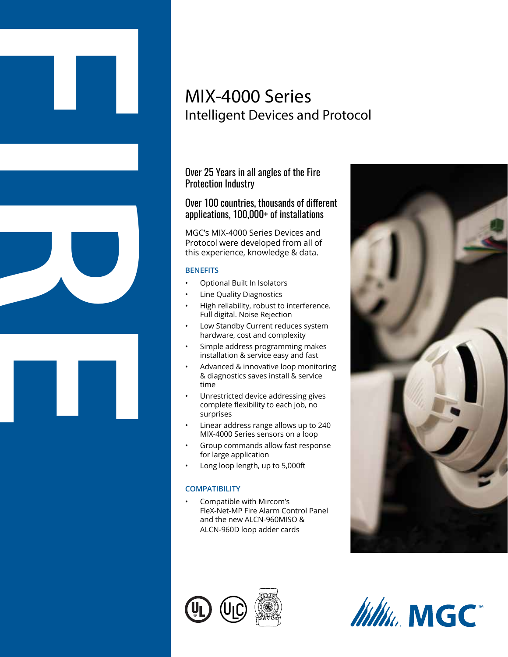# MIX-4000 Series Intelligent Devices and Protocol

Over 25 Years in all angles of the Fire Protection Industry

## Over 100 countries, thousands of different applications, 100,000+ of installations

MGC's MIX-4000 Series Devices and Protocol were developed from all of this experience, knowledge & data.

#### **BENEFITS**

**FIRE** 

- Optional Built In Isolators
- Line Quality Diagnostics
- High reliability, robust to interference. Full digital. Noise Rejection
- Low Standby Current reduces system hardware, cost and complexity
- Simple address programming makes installation & service easy and fast
- Advanced & innovative loop monitoring & diagnostics saves install & service time
- Unrestricted device addressing gives complete flexibility to each job, no surprises
- Linear address range allows up to 240 MIX-4000 Series sensors on a loop
- Group commands allow fast response for large application
- Long loop length, up to 5,000ft

#### **COMPATIBILITY**

• Compatible with Mircom's FleX-Net-MP Fire Alarm Control Panel and the new ALCN-960MISO & ALCN-960D loop adder cards